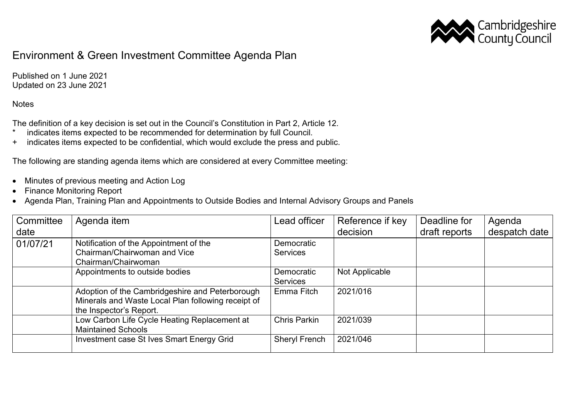

## Environment & Green Investment Committee Agenda Plan

Published on 1 June 2021 Updated on 23 June 2021

## **Notes**

The definition of a key decision is set out in the Council's Constitution in Part 2, Article 12.

- \* indicates items expected to be recommended for determination by full Council.
- + indicates items expected to be confidential, which would exclude the press and public.

The following are standing agenda items which are considered at every Committee meeting:

- Minutes of previous meeting and Action Log
- Finance Monitoring Report
- Agenda Plan, Training Plan and Appointments to Outside Bodies and Internal Advisory Groups and Panels

| Committee<br>date | Agenda item                                                                                                                      | Lead officer                  | Reference if key<br>decision | Deadline for<br>draft reports | Agenda<br>despatch date |
|-------------------|----------------------------------------------------------------------------------------------------------------------------------|-------------------------------|------------------------------|-------------------------------|-------------------------|
| 01/07/21          | Notification of the Appointment of the<br>Chairman/Chairwoman and Vice<br>Chairman/Chairwoman                                    | Democratic<br><b>Services</b> |                              |                               |                         |
|                   | Appointments to outside bodies                                                                                                   | Democratic<br><b>Services</b> | Not Applicable               |                               |                         |
|                   | Adoption of the Cambridgeshire and Peterborough<br>Minerals and Waste Local Plan following receipt of<br>the Inspector's Report. | Emma Fitch                    | 2021/016                     |                               |                         |
|                   | Low Carbon Life Cycle Heating Replacement at<br><b>Maintained Schools</b>                                                        | <b>Chris Parkin</b>           | 2021/039                     |                               |                         |
|                   | Investment case St Ives Smart Energy Grid                                                                                        | <b>Sheryl French</b>          | 2021/046                     |                               |                         |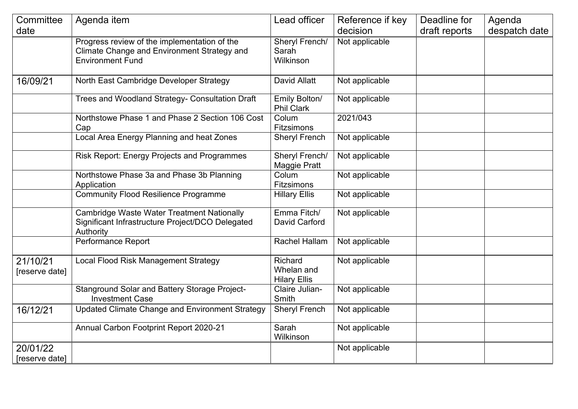| Committee                  | Agenda item                                                                                                            | Lead officer                                 | Reference if key | Deadline for  | Agenda        |
|----------------------------|------------------------------------------------------------------------------------------------------------------------|----------------------------------------------|------------------|---------------|---------------|
| date                       |                                                                                                                        |                                              | decision         | draft reports | despatch date |
|                            | Progress review of the implementation of the<br>Climate Change and Environment Strategy and<br><b>Environment Fund</b> | Sheryl French/<br>Sarah<br>Wilkinson         | Not applicable   |               |               |
| 16/09/21                   | North East Cambridge Developer Strategy                                                                                | David Allatt                                 | Not applicable   |               |               |
|                            | Trees and Woodland Strategy- Consultation Draft                                                                        | Emily Bolton/<br><b>Phil Clark</b>           | Not applicable   |               |               |
|                            | Northstowe Phase 1 and Phase 2 Section 106 Cost<br>Cap                                                                 | Colum<br>Fitzsimons                          | 2021/043         |               |               |
|                            | Local Area Energy Planning and heat Zones                                                                              | <b>Sheryl French</b>                         | Not applicable   |               |               |
|                            | <b>Risk Report: Energy Projects and Programmes</b>                                                                     | Sheryl French/<br>Maggie Pratt               | Not applicable   |               |               |
|                            | Northstowe Phase 3a and Phase 3b Planning<br>Application                                                               | Colum<br>Fitzsimons                          | Not applicable   |               |               |
|                            | <b>Community Flood Resilience Programme</b>                                                                            | <b>Hillary Ellis</b>                         | Not applicable   |               |               |
|                            | <b>Cambridge Waste Water Treatment Nationally</b><br>Significant Infrastructure Project/DCO Delegated<br>Authority     | Emma Fitch/<br>David Carford                 | Not applicable   |               |               |
|                            | Performance Report                                                                                                     | <b>Rachel Hallam</b>                         | Not applicable   |               |               |
| 21/10/21<br>[reserve date] | Local Flood Risk Management Strategy                                                                                   | Richard<br>Whelan and<br><b>Hilary Ellis</b> | Not applicable   |               |               |
|                            | Stanground Solar and Battery Storage Project-<br><b>Investment Case</b>                                                | Claire Julian-<br>Smith                      | Not applicable   |               |               |
| 16/12/21                   | Updated Climate Change and Environment Strategy                                                                        | <b>Sheryl French</b>                         | Not applicable   |               |               |
|                            | Annual Carbon Footprint Report 2020-21                                                                                 | Sarah<br>Wilkinson                           | Not applicable   |               |               |
| 20/01/22<br>[reserve date] |                                                                                                                        |                                              | Not applicable   |               |               |